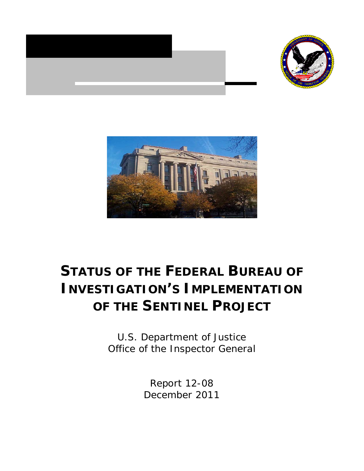





# **STATUS OF THE FEDERAL BUREAU OF INVESTIGATION'S IMPLEMENTATION OF THE SENTINEL PROJECT**

U.S. Department of Justice Office of the Inspector General

> Report 12-08 December 2011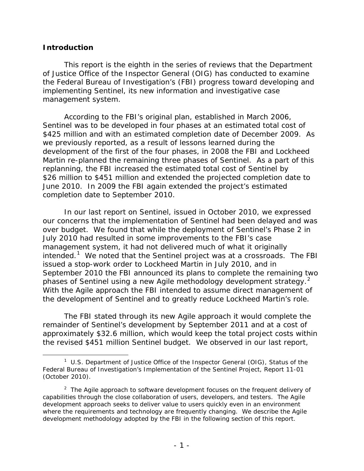#### **Introduction**

l

This report is the eighth in the series of reviews that the Department of Justice Office of the Inspector General (OIG) has conducted to examine the Federal Bureau of Investigation's (FBI) progress toward developing and implementing Sentinel, its new information and investigative case management system.

According to the FBI's original plan, established in March 2006, Sentinel was to be developed in four phases at an estimated total cost of \$425 million and with an estimated completion date of December 2009. As we previously reported, as a result of lessons learned during the development of the first of the four phases, in 2008 the FBI and Lockheed Martin re-planned the remaining three phases of Sentinel. As a part of this replanning, the FBI increased the estimated total cost of Sentinel by \$26 million to \$451 million and extended the projected completion date to June 2010. In 2009 the FBI again extended the project's estimated completion date to September 2010.

In our last report on Sentinel, issued in October 2010, we expressed our concerns that the implementation of Sentinel had been delayed and was over budget. We found that while the deployment of Sentinel's Phase 2 in July 2010 had resulted in some improvements to the FBI's case management system, it had not delivered much of what it originally intended.<sup>[1](#page-2-0)</sup> We noted that the Sentinel project was at a crossroads. The FBI issued a stop-work order to Lockheed Martin in July 2010, and in September 2010 the FBI announced its plans to complete the remaining two phases of Sentinel using a new Agile methodology development strategy.<sup>[2](#page-2-1)</sup> With the Agile approach the FBI intended to assume direct management of the development of Sentinel and to greatly reduce Lockheed Martin's role.

The FBI stated through its new Agile approach it would complete the remainder of Sentinel's development by September 2011 and at a cost of approximately \$32.6 million, which would keep the total project costs within the revised \$451 million Sentinel budget. We observed in our last report,

<span id="page-2-0"></span><sup>1</sup> U.S. Department of Justice Office of the Inspector General (OIG), *Status of the Federal Bureau of Investigation's Implementation of the Sentinel Project,* Report 11-01 (October 2010).

<span id="page-2-1"></span><sup>&</sup>lt;sup>2</sup> The Agile approach to software development focuses on the frequent delivery of capabilities through the close collaboration of users, developers, and testers. The Agile development approach seeks to deliver value to users quickly even in an environment where the requirements and technology are frequently changing. We describe the Agile development methodology adopted by the FBI in the following section of this report.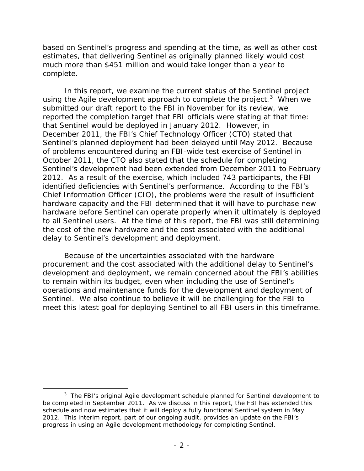based on Sentinel's progress and spending at the time, as well as other cost estimates, that delivering Sentinel as originally planned likely would cost much more than \$451 million and would take longer than a year to complete.

In this report, we examine the current status of the Sentinel project using the Agile development approach to complete the project.<sup>[3](#page-3-0)</sup> When we submitted our draft report to the FBI in November for its review, we reported the completion target that FBI officials were stating at that time: that Sentinel would be deployed in January 2012. However, in December 2011, the FBI's Chief Technology Officer (CTO) stated that Sentinel's planned deployment had been delayed until May 2012. Because of problems encountered during an FBI-wide test exercise of Sentinel in October 2011, the CTO also stated that the schedule for completing Sentinel's development had been extended from December 2011 to February 2012. As a result of the exercise, which included 743 participants, the FBI identified deficiencies with Sentinel's performance. According to the FBI's Chief Information Officer (CIO), the problems were the result of insufficient hardware capacity and the FBI determined that it will have to purchase new hardware before Sentinel can operate properly when it ultimately is deployed to all Sentinel users. At the time of this report, the FBI was still determining the cost of the new hardware and the cost associated with the additional delay to Sentinel's development and deployment.

Because of the uncertainties associated with the hardware procurement and the cost associated with the additional delay to Sentinel's development and deployment, we remain concerned about the FBI's abilities to remain within its budget, even when including the use of Sentinel's operations and maintenance funds for the development and deployment of Sentinel. We also continue to believe it will be challenging for the FBI to meet this latest goal for deploying Sentinel to all FBI users in this timeframe.

<span id="page-3-0"></span> $3$  The FBI's original Agile development schedule planned for Sentinel development to be completed in September 2011. As we discuss in this report, the FBI has extended this schedule and now estimates that it will deploy a fully functional Sentinel system in May 2012. This interim report, part of our ongoing audit, provides an update on the FBI's progress in using an Agile development methodology for completing Sentinel.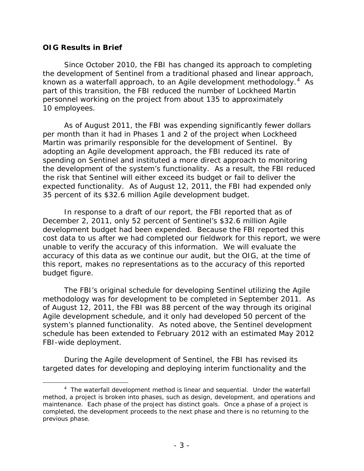#### **OIG Results in Brief**

l

Since October 2010, the FBI has changed its approach to completing the development of Sentinel from a traditional phased and linear approach, known as a waterfall approach, to an Agile development methodology.<sup>[4](#page-4-0)</sup> As part of this transition, the FBI reduced the number of Lockheed Martin personnel working on the project from about 135 to approximately 10 employees.

As of August 2011, the FBI was expending significantly fewer dollars per month than it had in Phases 1 and 2 of the project when Lockheed Martin was primarily responsible for the development of Sentinel. By adopting an Agile development approach, the FBI reduced its rate of spending on Sentinel and instituted a more direct approach to monitoring the development of the system's functionality. As a result, the FBI reduced the risk that Sentinel will either exceed its budget or fail to deliver the expected functionality. As of August 12, 2011, the FBI had expended only 35 percent of its \$32.6 million Agile development budget.

In response to a draft of our report, the FBI reported that as of December 2, 2011, only 52 percent of Sentinel's \$32.6 million Agile development budget had been expended. Because the FBI reported this cost data to us after we had completed our fieldwork for this report, we were unable to verify the accuracy of this information. We will evaluate the accuracy of this data as we continue our audit, but the OIG, at the time of this report, makes no representations as to the accuracy of this reported budget figure.

The FBI's original schedule for developing Sentinel utilizing the Agile methodology was for development to be completed in September 2011. As of August 12, 2011, the FBI was 88 percent of the way through its original Agile development schedule, and it only had developed 50 percent of the system's planned functionality. As noted above, the Sentinel development schedule has been extended to February 2012 with an estimated May 2012 FBI-wide deployment.

During the Agile development of Sentinel, the FBI has revised its targeted dates for developing and deploying interim functionality and the

<span id="page-4-0"></span><sup>&</sup>lt;sup>4</sup> The waterfall development method is linear and sequential. Under the waterfall method, a project is broken into phases, such as design, development, and operations and maintenance. Each phase of the project has distinct goals. Once a phase of a project is completed, the development proceeds to the next phase and there is no returning to the previous phase.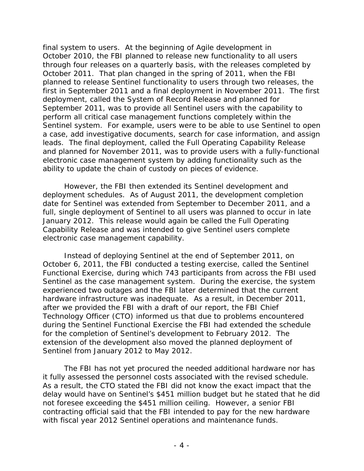final system to users. At the beginning of Agile development in October 2010, the FBI planned to release new functionality to all users through four releases on a quarterly basis, with the releases completed by October 2011. That plan changed in the spring of 2011, when the FBI planned to release Sentinel functionality to users through two releases, the first in September 2011 and a final deployment in November 2011. The first deployment, called the System of Record Release and planned for September 2011, was to provide all Sentinel users with the capability to perform all critical case management functions completely within the Sentinel system. For example, users were to be able to use Sentinel to open a case, add investigative documents, search for case information, and assign leads. The final deployment, called the Full Operating Capability Release and planned for November 2011, was to provide users with a fully-functional electronic case management system by adding functionality such as the ability to update the chain of custody on pieces of evidence.

However, the FBI then extended its Sentinel development and deployment schedules. As of August 2011, the development completion date for Sentinel was extended from September to December 2011, and a full, single deployment of Sentinel to all users was planned to occur in late January 2012. This release would again be called the Full Operating Capability Release and was intended to give Sentinel users complete electronic case management capability.

Instead of deploying Sentinel at the end of September 2011, on October 6, 2011, the FBI conducted a testing exercise, called the Sentinel Functional Exercise, during which 743 participants from across the FBI used Sentinel as the case management system. During the exercise, the system experienced two outages and the FBI later determined that the current hardware infrastructure was inadequate. As a result, in December 2011, after we provided the FBI with a draft of our report, the FBI Chief Technology Officer (CTO) informed us that due to problems encountered during the Sentinel Functional Exercise the FBI had extended the schedule for the completion of Sentinel's development to February 2012. The extension of the development also moved the planned deployment of Sentinel from January 2012 to May 2012.

The FBI has not yet procured the needed additional hardware nor has it fully assessed the personnel costs associated with the revised schedule. As a result, the CTO stated the FBI did not know the exact impact that the delay would have on Sentinel's \$451 million budget but he stated that he did not foresee exceeding the \$451 million ceiling. However, a senior FBI contracting official said that the FBI intended to pay for the new hardware with fiscal year 2012 Sentinel operations and maintenance funds.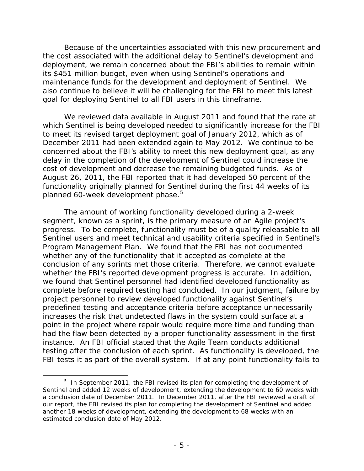Because of the uncertainties associated with this new procurement and the cost associated with the additional delay to Sentinel's development and deployment, we remain concerned about the FBI's abilities to remain within its \$451 million budget, even when using Sentinel's operations and maintenance funds for the development and deployment of Sentinel. We also continue to believe it will be challenging for the FBI to meet this latest goal for deploying Sentinel to all FBI users in this timeframe.

We reviewed data available in August 2011 and found that the rate at which Sentinel is being developed needed to significantly increase for the FBI to meet its revised target deployment goal of January 2012, which as of December 2011 had been extended again to May 2012. We continue to be concerned about the FBI's ability to meet this new deployment goal, as any delay in the completion of the development of Sentinel could increase the cost of development and decrease the remaining budgeted funds. As of August 26, 2011, the FBI reported that it had developed 50 percent of the functionality originally planned for Sentinel during the first 44 weeks of its planned 60-week development phase. [5](#page-6-0)

The amount of working functionality developed during a 2-week segment, known as a sprint, is the primary measure of an Agile project's progress. To be complete, functionality must be of a quality releasable to all Sentinel users and meet technical and usability criteria specified in Sentinel's Program Management Plan. We found that the FBI has not documented whether any of the functionality that it accepted as complete at the conclusion of any sprints met those criteria. Therefore, we cannot evaluate whether the FBI's reported development progress is accurate. In addition, we found that Sentinel personnel had identified developed functionality as complete before required testing had concluded. In our judgment, failure by project personnel to review developed functionality against Sentinel's predefined testing and acceptance criteria before acceptance unnecessarily increases the risk that undetected flaws in the system could surface at a point in the project where repair would require more time and funding than had the flaw been detected by a proper functionality assessment in the first instance. An FBI official stated that the Agile Team conducts additional testing after the conclusion of each sprint. As functionality is developed, the FBI tests it as part of the overall system. If at any point functionality fails to

<span id="page-6-0"></span> $5$  In September 2011, the FBI revised its plan for completing the development of Sentinel and added 12 weeks of development, extending the development to 60 weeks with a conclusion date of December 2011. In December 2011, after the FBI reviewed a draft of our report, the FBI revised its plan for completing the development of Sentinel and added another 18 weeks of development, extending the development to 68 weeks with an estimated conclusion date of May 2012.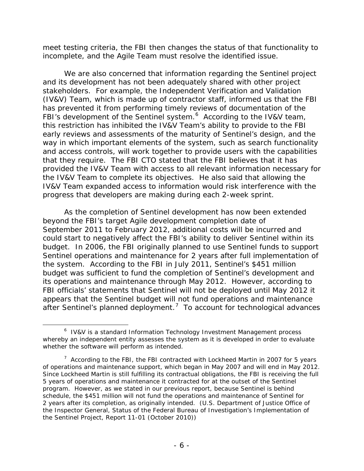meet testing criteria, the FBI then changes the status of that functionality to incomplete, and the Agile Team must resolve the identified issue.

We are also concerned that information regarding the Sentinel project and its development has not been adequately shared with other project stakeholders. For example, the Independent Verification and Validation (IV&V) Team, which is made up of contractor staff, informed us that the FBI has prevented it from performing timely reviews of documentation of the FBI's development of the Sentinel system.<sup>[6](#page-7-0)</sup> According to the IV&V team, this restriction has inhibited the IV&V Team's ability to provide to the FBI early reviews and assessments of the maturity of Sentinel's design, and the way in which important elements of the system, such as search functionality and access controls, will work together to provide users with the capabilities that they require. The FBI CTO stated that the FBI believes that it has provided the IV&V Team with access to all relevant information necessary for the IV&V Team to complete its objectives. He also said that allowing the IV&V Team expanded access to information would risk interference with the progress that developers are making during each 2-week sprint.

As the completion of Sentinel development has now been extended beyond the FBI's target Agile development completion date of September 2011 to February 2012, additional costs will be incurred and could start to negatively affect the FBI's ability to deliver Sentinel within its budget. In 2006, the FBI originally planned to use Sentinel funds to support Sentinel operations and maintenance for 2 years after full implementation of the system. According to the FBI in July 2011, Sentinel's \$451 million budget was sufficient to fund the completion of Sentinel's development and its operations and maintenance through May 2012. However, according to FBI officials' statements that Sentinel will not be deployed until May 2012 it appears that the Sentinel budget will not fund operations and maintenance after Sentinel's planned deployment.<sup>[7](#page-7-1)</sup> To account for technological advances

<span id="page-7-0"></span><sup>&</sup>lt;sup>6</sup> IV&V is a standard Information Technology Investment Management process whereby an independent entity assesses the system as it is developed in order to evaluate whether the software will perform as intended.

<span id="page-7-1"></span><sup>&</sup>lt;sup>7</sup> According to the FBI, the FBI contracted with Lockheed Martin in 2007 for 5 years of operations and maintenance support, which began in May 2007 and will end in May 2012. Since Lockheed Martin is still fulfilling its contractual obligations, the FBI is receiving the full 5 years of operations and maintenance it contracted for at the outset of the Sentinel program. However, as we stated in our previous report, because Sentinel is behind schedule, the \$451 million will not fund the operations and maintenance of Sentinel for 2 years after its completion, as originally intended. (U.S. Department of Justice Office of the Inspector General, *Status of the Federal Bureau of Investigation's Implementation of the Sentinel Project*, Report 11-01 (October 2010))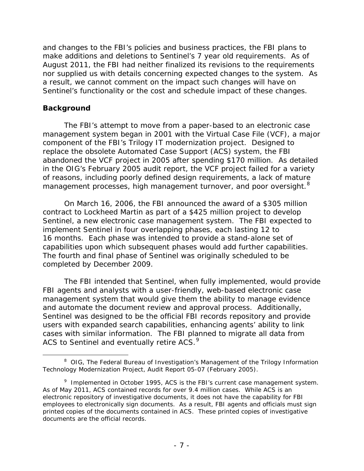and changes to the FBI's policies and business practices, the FBI plans to make additions and deletions to Sentinel's 7 year old requirements. As of August 2011, the FBI had neither finalized its revisions to the requirements nor supplied us with details concerning expected changes to the system. As a result, we cannot comment on the impact such changes will have on Sentinel's functionality or the cost and schedule impact of these changes.

## **Background**

l

The FBI's attempt to move from a paper-based to an electronic case management system began in 2001 with the Virtual Case File (VCF), a major component of the FBI's Trilogy IT modernization project. Designed to replace the obsolete Automated Case Support (ACS) system, the FBI abandoned the VCF project in 2005 after spending \$170 million. As detailed in the OIG's February 2005 audit report, the VCF project failed for a variety of reasons, including poorly defined design requirements, a lack of mature management processes, high management turnover, and poor oversight.<sup>[8](#page-8-0)</sup>

On March 16, 2006, the FBI announced the award of a \$305 million contract to Lockheed Martin as part of a \$425 million project to develop Sentinel, a new electronic case management system. The FBI expected to implement Sentinel in four overlapping phases, each lasting 12 to 16 months. Each phase was intended to provide a stand-alone set of capabilities upon which subsequent phases would add further capabilities. The fourth and final phase of Sentinel was originally scheduled to be completed by December 2009.

The FBI intended that Sentinel, when fully implemented, would provide FBI agents and analysts with a user-friendly, web-based electronic case management system that would give them the ability to manage evidence and automate the document review and approval process. Additionally, Sentinel was designed to be the official FBI records repository and provide users with expanded search capabilities, enhancing agents' ability to link cases with similar information. The FBI planned to migrate all data from ACS to Sentinel and eventually retire ACS.<sup>[9](#page-8-1)</sup>

<span id="page-8-0"></span><sup>&</sup>lt;sup>8</sup> OIG, The Federal Bureau of Investigation's Management of the Trilogy Information *Technology Modernization Project*, Audit Report 05-07 (February 2005).

<span id="page-8-1"></span><sup>&</sup>lt;sup>9</sup> Implemented in October 1995, ACS is the FBI's current case management system. As of May 2011, ACS contained records for over 9.4 million cases. While ACS is an electronic repository of investigative documents, it does not have the capability for FBI employees to electronically sign documents. As a result, FBI agents and officials must sign printed copies of the documents contained in ACS. These printed copies of investigative documents are the official records.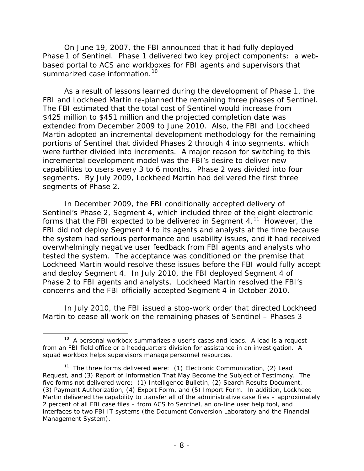On June 19, 2007, the FBI announced that it had fully deployed Phase 1 of Sentinel. Phase 1 delivered two key project components: a webbased portal to ACS and workboxes for FBI agents and supervisors that summarized case information.<sup>[10](#page-9-0)</sup>

As a result of lessons learned during the development of Phase 1, the FBI and Lockheed Martin re-planned the remaining three phases of Sentinel. The FBI estimated that the total cost of Sentinel would increase from \$425 million to \$451 million and the projected completion date was extended from December 2009 to June 2010. Also, the FBI and Lockheed Martin adopted an incremental development methodology for the remaining portions of Sentinel that divided Phases 2 through 4 into segments, which were further divided into increments. A major reason for switching to this incremental development model was the FBI's desire to deliver new capabilities to users every 3 to 6 months. Phase 2 was divided into four segments. By July 2009, Lockheed Martin had delivered the first three segments of Phase 2.

In December 2009, the FBI conditionally accepted delivery of Sentinel's Phase 2, Segment 4, which included three of the eight electronic forms that the FBI expected to be delivered in Segment 4.<sup>11</sup> However, the FBI did not deploy Segment 4 to its agents and analysts at the time because the system had serious performance and usability issues, and it had received overwhelmingly negative user feedback from FBI agents and analysts who tested the system. The acceptance was conditioned on the premise that Lockheed Martin would resolve these issues before the FBI would fully accept and deploy Segment 4. In July 2010, the FBI deployed Segment 4 of Phase 2 to FBI agents and analysts. Lockheed Martin resolved the FBI's concerns and the FBI officially accepted Segment 4 in October 2010.

In July 2010, the FBI issued a stop-work order that directed Lockheed Martin to cease all work on the remaining phases of Sentinel – Phases 3

<span id="page-9-0"></span> $10$  A personal workbox summarizes a user's cases and leads. A lead is a request from an FBI field office or a headquarters division for assistance in an investigation. A squad workbox helps supervisors manage personnel resources.

<span id="page-9-1"></span><sup>&</sup>lt;sup>11</sup> The three forms delivered were:  $(1)$  Electronic Communication,  $(2)$  Lead Request, and (3) Report of Information That May Become the Subject of Testimony. The five forms not delivered were: (1) Intelligence Bulletin, (2) Search Results Document, (3) Payment Authorization, (4) Export Form, and (5) Import Form. In addition, Lockheed Martin delivered the capability to transfer all of the administrative case files – approximately 2 percent of all FBI case files – from ACS to Sentinel, an on-line user help tool, and interfaces to two FBI IT systems (the Document Conversion Laboratory and the Financial Management System).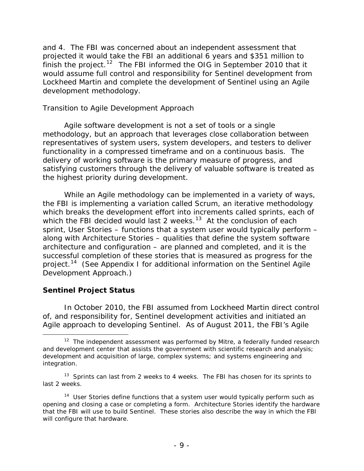and 4. The FBI was concerned about an independent assessment that projected it would take the FBI an additional 6 years and \$351 million to finish the project.<sup>[12](#page-10-0)</sup> The FBI informed the OIG in September 2010 that it would assume full control and responsibility for Sentinel development from Lockheed Martin and complete the development of Sentinel using an Agile development methodology.

## *Transition to Agile Development Approach*

Agile software development is not a set of tools or a single methodology, but an approach that leverages close collaboration between representatives of system users, system developers, and testers to deliver functionality in a compressed timeframe and on a continuous basis. The delivery of working software is the primary measure of progress, and satisfying customers through the delivery of valuable software is treated as the highest priority during development.

While an Agile methodology can be implemented in a variety of ways, the FBI is implementing a variation called Scrum, an iterative methodology which breaks the development effort into increments called sprints, each of which the FBI decided would last 2 weeks.<sup>[13](#page-10-1)</sup> At the conclusion of each sprint, User Stories – functions that a system user would typically perform – along with Architecture Stories – qualities that define the system software architecture and configuration – are planned and completed, and it is the successful completion of these stories that is measured as progress for the project.<sup>[14](#page-10-2)</sup> (See Appendix I for additional information on the Sentinel Agile Development Approach.)

# **Sentinel Project Status**

l

In October 2010, the FBI assumed from Lockheed Martin direct control of, and responsibility for, Sentinel development activities and initiated an Agile approach to developing Sentinel. As of August 2011, the FBI's Agile

<span id="page-10-0"></span> $12$  The independent assessment was performed by Mitre, a federally funded research and development center that assists the government with scientific research and analysis; development and acquisition of large, complex systems; and systems engineering and integration.

<span id="page-10-1"></span> $13$  Sprints can last from 2 weeks to 4 weeks. The FBI has chosen for its sprints to last 2 weeks.

<span id="page-10-2"></span> $14$  User Stories define functions that a system user would typically perform such as opening and closing a case or completing a form. Architecture Stories identify the hardware that the FBI will use to build Sentinel. These stories also describe the way in which the FBI will configure that hardware.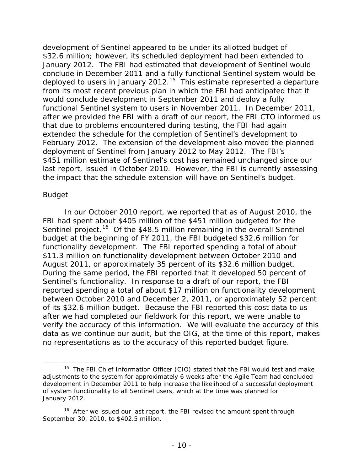development of Sentinel appeared to be under its allotted budget of \$32.6 million; however, its scheduled deployment had been extended to January 2012. The FBI had estimated that development of Sentinel would conclude in December 2011 and a fully functional Sentinel system would be deployed to users in January 2012.<sup>15</sup> This estimate represented a departure from its most recent previous plan in which the FBI had anticipated that it would conclude development in September 2011 and deploy a fully functional Sentinel system to users in November 2011. In December 2011, after we provided the FBI with a draft of our report, the FBI CTO informed us that due to problems encountered during testing, the FBI had again extended the schedule for the completion of Sentinel's development to February 2012. The extension of the development also moved the planned deployment of Sentinel from January 2012 to May 2012. The FBI's \$451 million estimate of Sentinel's cost has remained unchanged since our last report, issued in October 2010. However, the FBI is currently assessing the impact that the schedule extension will have on Sentinel's budget.

#### *Budget*

l

In our October 2010 report, we reported that as of August 2010, the FBI had spent about \$405 million of the \$451 million budgeted for the Sentinel project.<sup>[16](#page-11-1)</sup> Of the \$48.5 million remaining in the overall Sentinel budget at the beginning of FY 2011, the FBI budgeted \$32.6 million for functionality development. The FBI reported spending a total of about \$11.3 million on functionality development between October 2010 and August 2011, or approximately 35 percent of its \$32.6 million budget. During the same period, the FBI reported that it developed 50 percent of Sentinel's functionality. In response to a draft of our report, the FBI reported spending a total of about \$17 million on functionality development between October 2010 and December 2, 2011, or approximately 52 percent of its \$32.6 million budget. Because the FBI reported this cost data to us after we had completed our fieldwork for this report, we were unable to verify the accuracy of this information. We will evaluate the accuracy of this data as we continue our audit, but the OIG, at the time of this report, makes no representations as to the accuracy of this reported budget figure.

<span id="page-11-0"></span> $15$  The FBI Chief Information Officer (CIO) stated that the FBI would test and make adjustments to the system for approximately 6 weeks after the Agile Team had concluded development in December 2011 to help increase the likelihood of a successful deployment of system functionality to all Sentinel users, which at the time was planned for January 2012.

<span id="page-11-1"></span><sup>&</sup>lt;sup>16</sup> After we issued our last report, the FBI revised the amount spent through September 30, 2010, to \$402.5 million.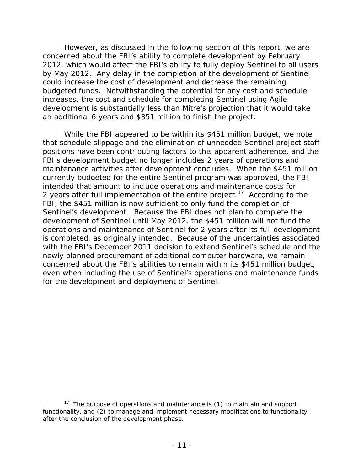However, as discussed in the following section of this report, we are concerned about the FBI's ability to complete development by February 2012, which would affect the FBI's ability to fully deploy Sentinel to all users by May 2012. Any delay in the completion of the development of Sentinel could increase the cost of development and decrease the remaining budgeted funds. Notwithstanding the potential for any cost and schedule increases, the cost and schedule for completing Sentinel using Agile development is substantially less than Mitre's projection that it would take an additional 6 years and \$351 million to finish the project.

While the FBI appeared to be within its \$451 million budget, we note that schedule slippage and the elimination of unneeded Sentinel project staff positions have been contributing factors to this apparent adherence, and the FBI's development budget no longer includes 2 years of operations and maintenance activities after development concludes. When the \$451 million currently budgeted for the entire Sentinel program was approved, the FBI intended that amount to include operations and maintenance costs for 2 years after full implementation of the entire project.<sup>17</sup> According to the FBI, the \$451 million is now sufficient to only fund the completion of Sentinel's development. Because the FBI does not plan to complete the development of Sentinel until May 2012, the \$451 million will not fund the operations and maintenance of Sentinel for 2 years after its full development is completed, as originally intended. Because of the uncertainties associated with the FBI's December 2011 decision to extend Sentinel's schedule and the newly planned procurement of additional computer hardware, we remain concerned about the FBI's abilities to remain within its \$451 million budget, even when including the use of Sentinel's operations and maintenance funds for the development and deployment of Sentinel.

<span id="page-12-0"></span><sup>&</sup>lt;sup>17</sup> The purpose of operations and maintenance is  $(1)$  to maintain and support functionality, and (2) to manage and implement necessary modifications to functionality after the conclusion of the development phase.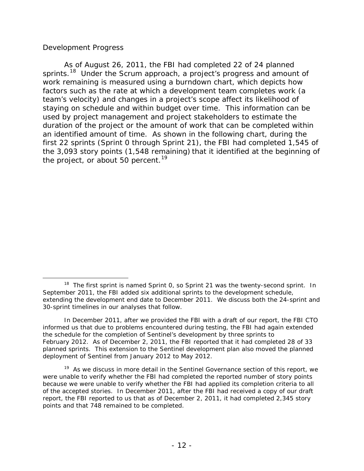## *Development Progress*

As of August 26, 2011, the FBI had completed 22 of 24 planned sprints.<sup>18</sup> Under the Scrum approach, a project's progress and amount of work remaining is measured using a burndown chart, which depicts how factors such as the rate at which a development team completes work (a team's velocity) and changes in a project's scope affect its likelihood of staying on schedule and within budget over time. This information can be used by project management and project stakeholders to estimate the duration of the project or the amount of work that can be completed within an identified amount of time. As shown in the following chart, during the first 22 sprints (Sprint 0 through Sprint 21), the FBI had completed 1,545 of the 3,093 story points (1,548 remaining) that it identified at the beginning of the project, or about 50 percent.<sup>[19](#page-13-1)</sup>

<span id="page-13-0"></span>l  $18$  The first sprint is named Sprint 0, so Sprint 21 was the twenty-second sprint. In September 2011, the FBI added six additional sprints to the development schedule, extending the development end date to December 2011. We discuss both the 24-sprint and 30-sprint timelines in our analyses that follow.

In December 2011, after we provided the FBI with a draft of our report, the FBI CTO informed us that due to problems encountered during testing, the FBI had again extended the schedule for the completion of Sentinel's development by three sprints to February 2012. As of December 2, 2011, the FBI reported that it had completed 28 of 33 planned sprints. This extension to the Sentinel development plan also moved the planned deployment of Sentinel from January 2012 to May 2012.

<span id="page-13-1"></span> $19$  As we discuss in more detail in the Sentinel Governance section of this report, we were unable to verify whether the FBI had completed the reported number of story points because we were unable to verify whether the FBI had applied its completion criteria to all of the accepted stories. In December 2011, after the FBI had received a copy of our draft report, the FBI reported to us that as of December 2, 2011, it had completed 2,345 story points and that 748 remained to be completed.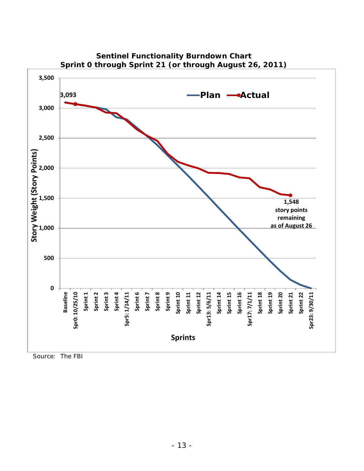

**Sentinel Functionality Burndown Chart Sprint 0 through Sprint 21 (or through August 26, 2011)** 

Source: The FBI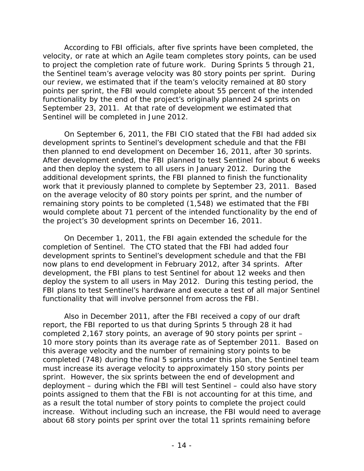According to FBI officials, after five sprints have been completed, the velocity, or rate at which an Agile team completes story points, can be used to project the completion rate of future work. During Sprints 5 through 21, the Sentinel team's average velocity was 80 story points per sprint. During our review, we estimated that if the team's velocity remained at 80 story points per sprint, the FBI would complete about 55 percent of the intended functionality by the end of the project's originally planned 24 sprints on September 23, 2011. At that rate of development we estimated that Sentinel will be completed in June 2012.

On September 6, 2011, the FBI CIO stated that the FBI had added six development sprints to Sentinel's development schedule and that the FBI then planned to end development on December 16, 2011, after 30 sprints. After development ended, the FBI planned to test Sentinel for about 6 weeks and then deploy the system to all users in January 2012. During the additional development sprints, the FBI planned to finish the functionality work that it previously planned to complete by September 23, 2011. Based on the average velocity of 80 story points per sprint, and the number of remaining story points to be completed (1,548) we estimated that the FBI would complete about 71 percent of the intended functionality by the end of the project's 30 development sprints on December 16, 2011.

On December 1, 2011, the FBI again extended the schedule for the completion of Sentinel. The CTO stated that the FBI had added four development sprints to Sentinel's development schedule and that the FBI now plans to end development in February 2012, after 34 sprints. After development, the FBI plans to test Sentinel for about 12 weeks and then deploy the system to all users in May 2012. During this testing period, the FBI plans to test Sentinel's hardware and execute a test of all major Sentinel functionality that will involve personnel from across the FBI.

Also in December 2011, after the FBI received a copy of our draft report, the FBI reported to us that during Sprints 5 through 28 it had completed 2,167 story points, an average of 90 story points per sprint – 10 more story points than its average rate as of September 2011. Based on this average velocity and the number of remaining story points to be completed (748) during the final 5 sprints under this plan, the Sentinel team must increase its average velocity to approximately 150 story points per sprint. However, the six sprints between the end of development and deployment – during which the FBI will test Sentinel – could also have story points assigned to them that the FBI is not accounting for at this time, and as a result the total number of story points to complete the project could increase. Without including such an increase, the FBI would need to average about 68 story points per sprint over the total 11 sprints remaining before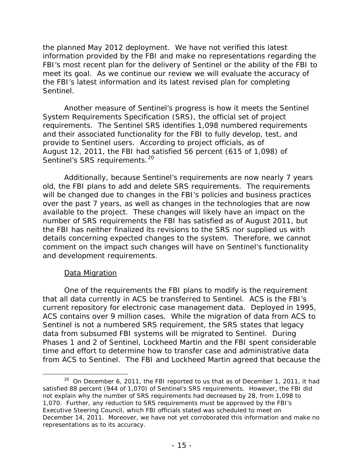the planned May 2012 deployment. We have not verified this latest information provided by the FBI and make no representations regarding the FBI's most recent plan for the delivery of Sentinel or the ability of the FBI to meet its goal. As we continue our review we will evaluate the accuracy of the FBI's latest information and its latest revised plan for completing Sentinel.

Another measure of Sentinel's progress is how it meets the Sentinel System Requirements Specification (SRS), the official set of project requirements. The Sentinel SRS identifies 1,098 numbered requirements and their associated functionality for the FBI to fully develop, test, and provide to Sentinel users. According to project officials, as of August 12, 2011, the FBI had satisfied 56 percent (615 of 1,098) of Sentinel's SRS requirements.<sup>[20](#page-16-0)</sup>

Additionally, because Sentinel's requirements are now nearly 7 years old, the FBI plans to add and delete SRS requirements. The requirements will be changed due to changes in the FBI's policies and business practices over the past 7 years, as well as changes in the technologies that are now available to the project. These changes will likely have an impact on the number of SRS requirements the FBI has satisfied as of August 2011, but the FBI has neither finalized its revisions to the SRS nor supplied us with details concerning expected changes to the system. Therefore, we cannot comment on the impact such changes will have on Sentinel's functionality and development requirements.

#### Data Migration

l

One of the requirements the FBI plans to modify is the requirement that all data currently in ACS be transferred to Sentinel. ACS is the FBI's current repository for electronic case management data. Deployed in 1995, ACS contains over 9 million cases. While the migration of data from ACS to Sentinel is not a numbered SRS requirement, the SRS states that legacy data from subsumed FBI systems will be migrated to Sentinel. During Phases 1 and 2 of Sentinel, Lockheed Martin and the FBI spent considerable time and effort to determine how to transfer case and administrative data from ACS to Sentinel. The FBI and Lockheed Martin agreed that because the

<span id="page-16-0"></span> $20$  On December 6, 2011, the FBI reported to us that as of December 1, 2011, it had satisfied 88 percent (944 of 1,070) of Sentinel's SRS requirements. However, the FBI did not explain why the number of SRS requirements had decreased by 28, from 1,098 to 1,070. Further, any reduction to SRS requirements must be approved by the FBI's Executive Steering Council, which FBI officials stated was scheduled to meet on December 14, 2011. Moreover, we have not yet corroborated this information and make no representations as to its accuracy.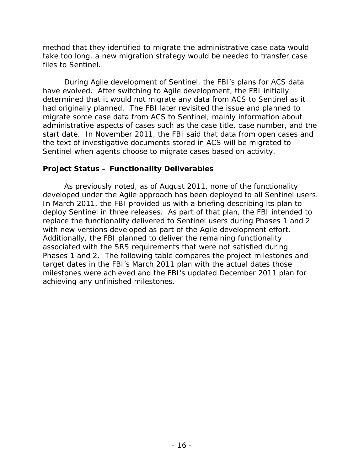method that they identified to migrate the administrative case data would take too long, a new migration strategy would be needed to transfer case files to Sentinel.

During Agile development of Sentinel, the FBI's plans for ACS data have evolved. After switching to Agile development, the FBI initially determined that it would not migrate any data from ACS to Sentinel as it had originally planned. The FBI later revisited the issue and planned to migrate some case data from ACS to Sentinel, mainly information about administrative aspects of cases such as the case title, case number, and the start date. In November 2011, the FBI said that data from open cases and the text of investigative documents stored in ACS will be migrated to Sentinel when agents choose to migrate cases based on activity.

## **Project Status – Functionality Deliverables**

As previously noted, as of August 2011, none of the functionality developed under the Agile approach has been deployed to all Sentinel users. In March 2011, the FBI provided us with a briefing describing its plan to deploy Sentinel in three releases. As part of that plan, the FBI intended to replace the functionality delivered to Sentinel users during Phases 1 and 2 with new versions developed as part of the Agile development effort. Additionally, the FBI planned to deliver the remaining functionality associated with the SRS requirements that were not satisfied during Phases 1 and 2. The following table compares the project milestones and target dates in the FBI's March 2011 plan with the actual dates those milestones were achieved and the FBI's updated December 2011 plan for achieving any unfinished milestones.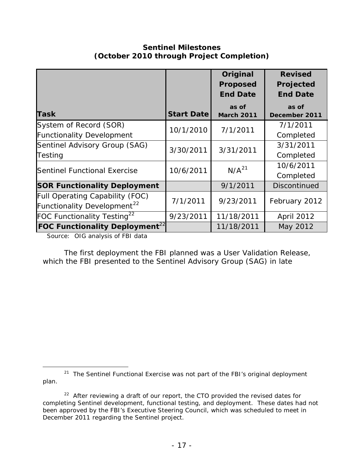# **Sentinel Milestones (October 2010 through Project Completion)**

|                                                                            |                   | Original<br><b>Proposed</b><br><b>End Date</b> | <b>Revised</b><br>Projected<br><b>End Date</b> |
|----------------------------------------------------------------------------|-------------------|------------------------------------------------|------------------------------------------------|
| <b>Task</b>                                                                | <b>Start Date</b> | as of<br><b>March 2011</b>                     | as of<br>December 2011                         |
| System of Record (SOR)<br><b>Functionality Development</b>                 | 10/1/2010         | 7/1/2011                                       | 7/1/2011<br>Completed                          |
| Sentinel Advisory Group (SAG)<br>Testing                                   | 3/30/2011         | 3/31/2011                                      | 3/31/2011<br>Completed                         |
| <b>Sentinel Functional Exercise</b>                                        | 10/6/2011         | N/A <sup>21</sup>                              | 10/6/2011<br>Completed                         |
| <b>SOR Functionality Deployment</b>                                        |                   | 9/1/2011                                       | <b>Discontinued</b>                            |
| Full Operating Capability (FOC)<br>Functionality Development <sup>22</sup> | 7/1/2011          | 9/23/2011                                      | February 2012                                  |
| FOC Functionality Testing <sup>22</sup>                                    | 9/23/2011         | 11/18/2011                                     | April 2012                                     |
| <b>FOC Functionality Deployment</b> <sup>22</sup>                          |                   | 11/18/2011                                     | May 2012                                       |

Source: OIG analysis of FBI data

l

The first deployment the FBI planned was a User Validation Release, which the FBI presented to the Sentinel Advisory Group (SAG) in late

<span id="page-18-0"></span><sup>&</sup>lt;sup>21</sup> The Sentinel Functional Exercise was not part of the FBI's original deployment plan.

<span id="page-18-1"></span><sup>&</sup>lt;sup>22</sup> After reviewing a draft of our report, the CTO provided the revised dates for completing Sentinel development, functional testing, and deployment. These dates had not been approved by the FBI's Executive Steering Council, which was scheduled to meet in December 2011 regarding the Sentinel project.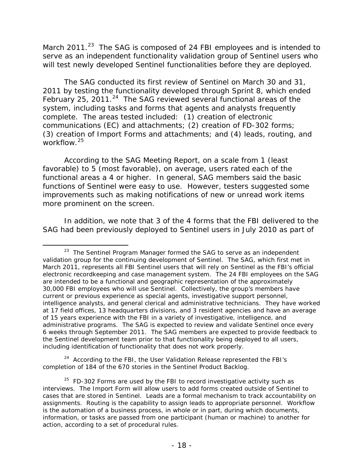March 2011. $^{23}$  $^{23}$  $^{23}$  The SAG is composed of 24 FBI employees and is intended to serve as an independent functionality validation group of Sentinel users who will test newly developed Sentinel functionalities before they are deployed.

The SAG conducted its first review of Sentinel on March 30 and 31, 2011 by testing the functionality developed through Sprint 8, which ended February 25, 2011.<sup>[24](#page-19-1)</sup> The SAG reviewed several functional areas of the system, including tasks and forms that agents and analysts frequently complete. The areas tested included: (1) creation of electronic communications (EC) and attachments; (2) creation of FD-302 forms; (3) creation of Import Forms and attachments; and (4) leads, routing, and workflow. [25](#page-19-2)

According to the SAG Meeting Report, on a scale from 1 (least favorable) to 5 (most favorable), on average, users rated each of the functional areas a 4 or higher. In general, SAG members said the basic functions of Sentinel were easy to use. However, testers suggested some improvements such as making notifications of new or unread work items more prominent on the screen.

In addition, we note that 3 of the 4 forms that the FBI delivered to the SAG had been previously deployed to Sentinel users in July 2010 as part of

l

<span id="page-19-1"></span> $24$  According to the FBI, the User Validation Release represented the FBI's completion of 184 of the 670 stories in the Sentinel Product Backlog.

<span id="page-19-0"></span> $23$  The Sentinel Program Manager formed the SAG to serve as an independent validation group for the continuing development of Sentinel. The SAG, which first met in March 2011, represents all FBI Sentinel users that will rely on Sentinel as the FBI's official electronic recordkeeping and case management system. The 24 FBI employees on the SAG are intended to be a functional and geographic representation of the approximately 30,000 FBI employees who will use Sentinel. Collectively, the group's members have current or previous experience as special agents, investigative support personnel, intelligence analysts, and general clerical and administrative technicians. They have worked at 17 field offices, 13 headquarters divisions, and 3 resident agencies and have an average of 15 years experience with the FBI in a variety of investigative, intelligence, and administrative programs. The SAG is expected to review and validate Sentinel once every 6 weeks through September 2011. The SAG members are expected to provide feedback to the Sentinel development team prior to that functionality being deployed to all users, including identification of functionality that does not work properly.

<span id="page-19-2"></span> $25$  FD-302 Forms are used by the FBI to record investigative activity such as interviews. The Import Form will allow users to add forms created outside of Sentinel to cases that are stored in Sentinel. Leads are a formal mechanism to track accountability on assignments. Routing is the capability to assign leads to appropriate personnel. Workflow is the automation of a business process, in whole or in part, during which documents, information, or tasks are passed from one participant (human or machine) to another for action, according to a set of procedural rules.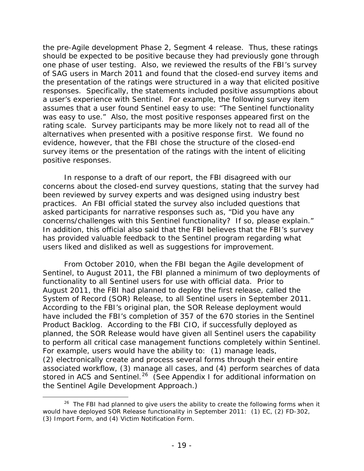the pre-Agile development Phase 2, Segment 4 release. Thus, these ratings should be expected to be positive because they had previously gone through one phase of user testing. Also, we reviewed the results of the FBI's survey of SAG users in March 2011 and found that the closed-end survey items and the presentation of the ratings were structured in a way that elicited positive responses. Specifically, the statements included positive assumptions about a user's experience with Sentinel. For example, the following survey item assumes that a user found Sentinel easy to use: "The Sentinel functionality was easy to use." Also, the most positive responses appeared first on the rating scale. Survey participants may be more likely not to read all of the alternatives when presented with a positive response first. We found no evidence, however, that the FBI chose the structure of the closed-end survey items or the presentation of the ratings with the intent of eliciting positive responses.

In response to a draft of our report, the FBI disagreed with our concerns about the closed-end survey questions, stating that the survey had been reviewed by survey experts and was designed using industry best practices. An FBI official stated the survey also included questions that asked participants for narrative responses such as, "Did you have any concerns/challenges with this Sentinel functionality? If so, please explain." In addition, this official also said that the FBI believes that the FBI's survey has provided valuable feedback to the Sentinel program regarding what users liked and disliked as well as suggestions for improvement.

From October 2010, when the FBI began the Agile development of Sentinel, to August 2011, the FBI planned a minimum of two deployments of functionality to all Sentinel users for use with official data. Prior to August 2011, the FBI had planned to deploy the first release, called the System of Record (SOR) Release, to all Sentinel users in September 2011. According to the FBI's original plan, the SOR Release deployment would have included the FBI's completion of 357 of the 670 stories in the Sentinel Product Backlog. According to the FBI CIO, if successfully deployed as planned, the SOR Release would have given all Sentinel users the capability to perform all critical case management functions completely within Sentinel. For example, users would have the ability to: (1) manage leads, (2) electronically create and process several forms through their entire associated workflow, (3) manage all cases, and (4) perform searches of data stored in ACS and Sentinel.<sup>[26](#page-20-0)</sup> (See Appendix I for additional information on the Sentinel Agile Development Approach.)

<span id="page-20-0"></span> $26$  The FBI had planned to give users the ability to create the following forms when it would have deployed SOR Release functionality in September 2011: (1) EC, (2) FD-302, (3) Import Form, and (4) Victim Notification Form.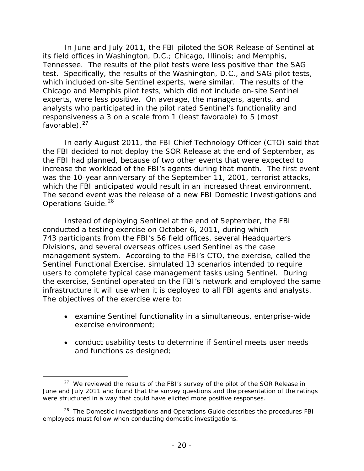In June and July 2011, the FBI piloted the SOR Release of Sentinel at its field offices in Washington, D.C.; Chicago, Illinois; and Memphis, Tennessee. The results of the pilot tests were less positive than the SAG test. Specifically, the results of the Washington, D.C., and SAG pilot tests, which included on-site Sentinel experts, were similar. The results of the Chicago and Memphis pilot tests, which did not include on-site Sentinel experts, were less positive. On average, the managers, agents, and analysts who participated in the pilot rated Sentinel's functionality and responsiveness a 3 on a scale from 1 (least favorable) to 5 (most favorable). $27$ 

In early August 2011, the FBI Chief Technology Officer (CTO) said that the FBI decided to not deploy the SOR Release at the end of September, as the FBI had planned, because of two other events that were expected to increase the workload of the FBI's agents during that month. The first event was the 10-year anniversary of the September 11, 2001, terrorist attacks, which the FBI anticipated would result in an increased threat environment. The second event was the release of a new FBI Domestic Investigations and Operations Guide.<sup>[28](#page-21-1)</sup>

Instead of deploying Sentinel at the end of September, the FBI conducted a testing exercise on October 6, 2011, during which 743 participants from the FBI's 56 field offices, several Headquarters Divisions, and several overseas offices used Sentinel as the case management system. According to the FBI's CTO, the exercise, called the Sentinel Functional Exercise, simulated 13 scenarios intended to require users to complete typical case management tasks using Sentinel. During the exercise, Sentinel operated on the FBI's network and employed the same infrastructure it will use when it is deployed to all FBI agents and analysts. The objectives of the exercise were to:

- examine Sentinel functionality in a simultaneous, enterprise-wide exercise environment;
- conduct usability tests to determine if Sentinel meets user needs and functions as designed;

<span id="page-21-0"></span> $27$  We reviewed the results of the FBI's survey of the pilot of the SOR Release in June and July 2011 and found that the survey questions and the presentation of the ratings were structured in a way that could have elicited more positive responses.

<span id="page-21-1"></span><sup>&</sup>lt;sup>28</sup> The Domestic Investigations and Operations Guide describes the procedures FBI employees must follow when conducting domestic investigations.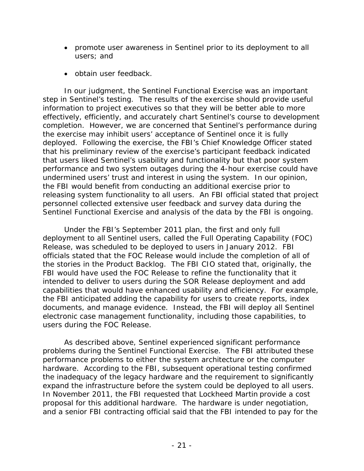- promote user awareness in Sentinel prior to its deployment to all users; and
- obtain user feedback.

In our judgment, the Sentinel Functional Exercise was an important step in Sentinel's testing. The results of the exercise should provide useful information to project executives so that they will be better able to more effectively, efficiently, and accurately chart Sentinel's course to development completion. However, we are concerned that Sentinel's performance during the exercise may inhibit users' acceptance of Sentinel once it is fully deployed. Following the exercise, the FBI's Chief Knowledge Officer stated that his preliminary review of the exercise's participant feedback indicated that users liked Sentinel's usability and functionality but that poor system performance and two system outages during the 4-hour exercise could have undermined users' trust and interest in using the system. In our opinion, the FBI would benefit from conducting an additional exercise prior to releasing system functionality to all users. An FBI official stated that project personnel collected extensive user feedback and survey data during the Sentinel Functional Exercise and analysis of the data by the FBI is ongoing.

Under the FBI's September 2011 plan, the first and only full deployment to all Sentinel users, called the Full Operating Capability (FOC) Release, was scheduled to be deployed to users in January 2012. FBI officials stated that the FOC Release would include the completion of all of the stories in the Product Backlog. The FBI CIO stated that, originally, the FBI would have used the FOC Release to refine the functionality that it intended to deliver to users during the SOR Release deployment and add capabilities that would have enhanced usability and efficiency. For example, the FBI anticipated adding the capability for users to create reports, index documents, and manage evidence. Instead, the FBI will deploy all Sentinel electronic case management functionality, including those capabilities, to users during the FOC Release.

As described above, Sentinel experienced significant performance problems during the Sentinel Functional Exercise. The FBI attributed these performance problems to either the system architecture or the computer hardware. According to the FBI, subsequent operational testing confirmed the inadequacy of the legacy hardware and the requirement to significantly expand the infrastructure before the system could be deployed to all users. In November 2011, the FBI requested that Lockheed Martin provide a cost proposal for this additional hardware. The hardware is under negotiation, and a senior FBI contracting official said that the FBI intended to pay for the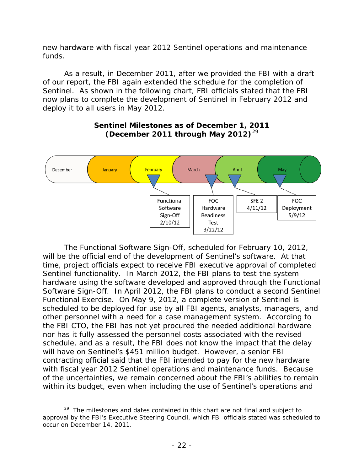new hardware with fiscal year 2012 Sentinel operations and maintenance funds.

As a result, in December 2011, after we provided the FBI with a draft of our report, the FBI again extended the schedule for the completion of Sentinel. As shown in the following chart, FBI officials stated that the FBI now plans to complete the development of Sentinel in February 2012 and deploy it to all users in May 2012.



## **Sentinel Milestones as of December 1, 2011 (December 2011 through May 2012)**[29](#page-23-0)

The Functional Software Sign-Off, scheduled for February 10, 2012, will be the official end of the development of Sentinel's software. At that time, project officials expect to receive FBI executive approval of completed Sentinel functionality. In March 2012, the FBI plans to test the system hardware using the software developed and approved through the Functional Software Sign-Off. In April 2012, the FBI plans to conduct a second Sentinel Functional Exercise. On May 9, 2012, a complete version of Sentinel is scheduled to be deployed for use by all FBI agents, analysts, managers, and other personnel with a need for a case management system. According to the FBI CTO, the FBI has not yet procured the needed additional hardware nor has it fully assessed the personnel costs associated with the revised schedule, and as a result, the FBI does not know the impact that the delay will have on Sentinel's \$451 million budget. However, a senior FBI contracting official said that the FBI intended to pay for the new hardware with fiscal year 2012 Sentinel operations and maintenance funds. Because of the uncertainties, we remain concerned about the FBI's abilities to remain within its budget, even when including the use of Sentinel's operations and

<span id="page-23-0"></span><sup>&</sup>lt;sup>29</sup> The milestones and dates contained in this chart are not final and subject to approval by the FBI's Executive Steering Council, which FBI officials stated was scheduled to occur on December 14, 2011.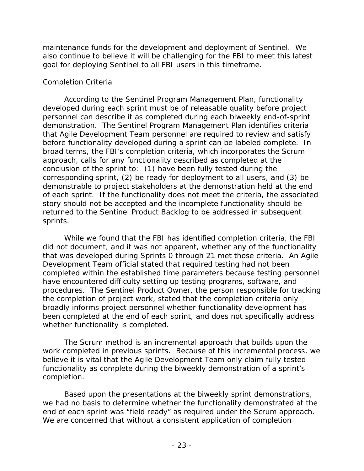maintenance funds for the development and deployment of Sentinel. We also continue to believe it will be challenging for the FBI to meet this latest goal for deploying Sentinel to all FBI users in this timeframe.

## *Completion Criteria*

According to the Sentinel Program Management Plan, functionality developed during each sprint must be of releasable quality before project personnel can describe it as completed during each biweekly end-of-sprint demonstration. The Sentinel Program Management Plan identifies criteria that Agile Development Team personnel are required to review and satisfy before functionality developed during a sprint can be labeled complete. In broad terms, the FBI's completion criteria, which incorporates the Scrum approach, calls for any functionality described as completed at the conclusion of the sprint to: (1) have been fully tested during the corresponding sprint, (2) be ready for deployment to all users, and (3) be demonstrable to project stakeholders at the demonstration held at the end of each sprint. If the functionality does not meet the criteria, the associated story should not be accepted and the incomplete functionality should be returned to the Sentinel Product Backlog to be addressed in subsequent sprints.

While we found that the FBI has identified completion criteria, the FBI did not document, and it was not apparent, whether any of the functionality that was developed during Sprints 0 through 21 met those criteria. An Agile Development Team official stated that required testing had not been completed within the established time parameters because testing personnel have encountered difficulty setting up testing programs, software, and procedures. The Sentinel Product Owner, the person responsible for tracking the completion of project work, stated that the completion criteria only broadly informs project personnel whether functionality development has been completed at the end of each sprint, and does not specifically address whether functionality is completed.

The Scrum method is an incremental approach that builds upon the work completed in previous sprints. Because of this incremental process, we believe it is vital that the Agile Development Team only claim fully tested functionality as complete during the biweekly demonstration of a sprint's completion.

Based upon the presentations at the biweekly sprint demonstrations, we had no basis to determine whether the functionality demonstrated at the end of each sprint was "field ready" as required under the Scrum approach. We are concerned that without a consistent application of completion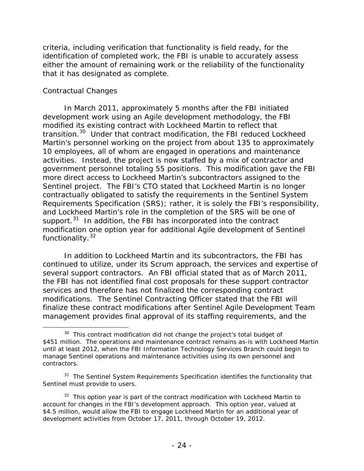criteria, including verification that functionality is field ready, for the identification of completed work, the FBI is unable to accurately assess either the amount of remaining work or the reliability of the functionality that it has designated as complete.

## *Contractual Changes*

l

In March 2011, approximately 5 months after the FBI initiated development work using an Agile development methodology, the FBI modified its existing contract with Lockheed Martin to reflect that transition. [30](#page-25-0) Under that contract modification, the FBI reduced Lockheed Martin's personnel working on the project from about 135 to approximately 10 employees, all of whom are engaged in operations and maintenance activities. Instead, the project is now staffed by a mix of contractor and government personnel totaling 55 positions. This modification gave the FBI more direct access to Lockheed Martin's subcontractors assigned to the Sentinel project. The FBI's CTO stated that Lockheed Martin is no longer contractually obligated to satisfy the requirements in the Sentinel System Requirements Specification (SRS); rather, it is solely the FBI's responsibility, and Lockheed Martin's role in the completion of the SRS will be one of support.<sup>[31](#page-25-1)</sup> In addition, the FBI has incorporated into the contract modification one option year for additional Agile development of Sentinel functionality.<sup>[32](#page-25-2)</sup>

In addition to Lockheed Martin and its subcontractors, the FBI has continued to utilize, under its Scrum approach, the services and expertise of several support contractors. An FBI official stated that as of March 2011, the FBI has not identified final cost proposals for these support contractor services and therefore has not finalized the corresponding contract modifications. The Sentinel Contracting Officer stated that the FBI will finalize these contract modifications after Sentinel Agile Development Team management provides final approval of its staffing requirements, and the

<span id="page-25-0"></span> $30$  This contract modification did not change the project's total budget of \$451 million. The operations and maintenance contract remains as-is with Lockheed Martin until at least 2012, when the FBI Information Technology Services Branch could begin to manage Sentinel operations and maintenance activities using its own personnel and contractors.

<span id="page-25-1"></span><sup>&</sup>lt;sup>31</sup> The Sentinel System Requirements Specification identifies the functionality that Sentinel must provide to users.

<span id="page-25-2"></span> $32$  This option year is part of the contract modification with Lockheed Martin to account for changes in the FBI's development approach. This option year, valued at \$4.5 million, would allow the FBI to engage Lockheed Martin for an additional year of development activities from October 17, 2011, through October 19, 2012.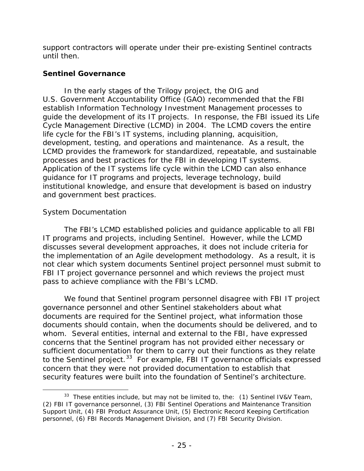support contractors will operate under their pre-existing Sentinel contracts until then.

## **Sentinel Governance**

In the early stages of the Trilogy project, the OIG and U.S. Government Accountability Office (GAO) recommended that the FBI establish Information Technology Investment Management processes to guide the development of its IT projects. In response, the FBI issued its Life Cycle Management Directive (LCMD) in 2004. The LCMD covers the entire life cycle for the FBI's IT systems, including planning, acquisition, development, testing, and operations and maintenance. As a result, the LCMD provides the framework for standardized, repeatable, and sustainable processes and best practices for the FBI in developing IT systems. Application of the IT systems life cycle within the LCMD can also enhance guidance for IT programs and projects, leverage technology, build institutional knowledge, and ensure that development is based on industry and government best practices.

# *System Documentation*

l

The FBI's LCMD established policies and guidance applicable to all FBI IT programs and projects, including Sentinel. However, while the LCMD discusses several development approaches, it does not include criteria for the implementation of an Agile development methodology. As a result, it is not clear which system documents Sentinel project personnel must submit to FBI IT project governance personnel and which reviews the project must pass to achieve compliance with the FBI's LCMD.

We found that Sentinel program personnel disagree with FBI IT project governance personnel and other Sentinel stakeholders about what documents are required for the Sentinel project, what information those documents should contain, when the documents should be delivered, and to whom. Several entities, internal and external to the FBI, have expressed concerns that the Sentinel program has not provided either necessary or sufficient documentation for them to carry out their functions as they relate to the Sentinel project. $33$  For example, FBI IT governance officials expressed concern that they were not provided documentation to establish that security features were built into the foundation of Sentinel's architecture.

<span id="page-26-0"></span> $33$  These entities include, but may not be limited to, the: (1) Sentinel IV&V Team, (2) FBI IT governance personnel, (3) FBI Sentinel Operations and Maintenance Transition Support Unit, (4) FBI Product Assurance Unit, (5) Electronic Record Keeping Certification personnel, (6) FBI Records Management Division, and (7) FBI Security Division.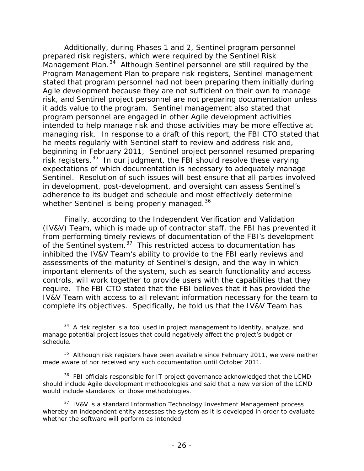Additionally, during Phases 1 and 2, Sentinel program personnel prepared risk registers, which were required by the Sentinel Risk Management Plan.<sup>34</sup> Although Sentinel personnel are still required by the Program Management Plan to prepare risk registers, Sentinel management stated that program personnel had not been preparing them initially during Agile development because they are not sufficient on their own to manage risk, and Sentinel project personnel are not preparing documentation unless it adds value to the program. Sentinel management also stated that program personnel are engaged in other Agile development activities intended to help manage risk and those activities may be more effective at managing risk. In response to a draft of this report, the FBI CTO stated that he meets regularly with Sentinel staff to review and address risk and, beginning in February 2011, Sentinel project personnel resumed preparing risk registers.[35](#page-27-1) In our judgment, the FBI should resolve these varying expectations of which documentation is necessary to adequately manage Sentinel. Resolution of such issues will best ensure that all parties involved in development, post-development, and oversight can assess Sentinel's adherence to its budget and schedule and most effectively determine whether Sentinel is being properly managed.<sup>[36](#page-27-2)</sup>

Finally, according to the Independent Verification and Validation (IV&V) Team, which is made up of contractor staff, the FBI has prevented it from performing timely reviews of documentation of the FBI's development of the Sentinel system.<sup>[37](#page-27-3)</sup> This restricted access to documentation has inhibited the IV&V Team's ability to provide to the FBI early reviews and assessments of the maturity of Sentinel's design, and the way in which important elements of the system, such as search functionality and access controls, will work together to provide users with the capabilities that they require. The FBI CTO stated that the FBI believes that it has provided the IV&V Team with access to all relevant information necessary for the team to complete its objectives. Specifically, he told us that the IV&V Team has

<span id="page-27-0"></span> $34$  A risk register is a tool used in project management to identify, analyze, and manage potential project issues that could negatively affect the project's budget or schedule.

<span id="page-27-1"></span> $35$  Although risk registers have been available since February 2011, we were neither made aware of nor received any such documentation until October 2011.

<span id="page-27-2"></span><sup>&</sup>lt;sup>36</sup> FBI officials responsible for IT project governance acknowledged that the LCMD should include Agile development methodologies and said that a new version of the LCMD would include standards for those methodologies.

<span id="page-27-3"></span> $37$  IV&V is a standard Information Technology Investment Management process whereby an independent entity assesses the system as it is developed in order to evaluate whether the software will perform as intended.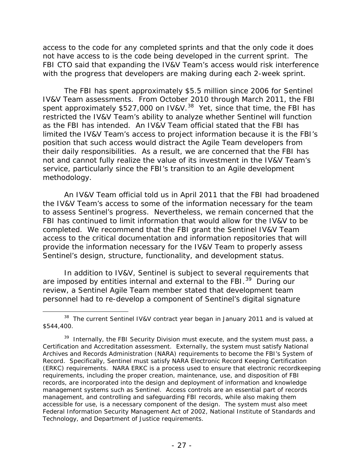access to the code for any completed sprints and that the only code it does not have access to is the code being developed in the current sprint. The FBI CTO said that expanding the IV&V Team's access would risk interference with the progress that developers are making during each 2-week sprint.

The FBI has spent approximately \$5.5 million since 2006 for Sentinel IV&V Team assessments. From October 2010 through March 2011, the FBI spent approximately \$527,000 on IV&V.<sup>[38](#page-28-0)</sup> Yet, since that time, the FBI has restricted the IV&V Team's ability to analyze whether Sentinel will function as the FBI has intended. An IV&V Team official stated that the FBI has limited the IV&V Team's access to project information because it is the FBI's position that such access would distract the Agile Team developers from their daily responsibilities. As a result, we are concerned that the FBI has not and cannot fully realize the value of its investment in the IV&V Team's service, particularly since the FBI's transition to an Agile development methodology.

An IV&V Team official told us in April 2011 that the FBI had broadened the IV&V Team's access to some of the information necessary for the team to assess Sentinel's progress. Nevertheless, we remain concerned that the FBI has continued to limit information that would allow for the IV&V to be completed. We recommend that the FBI grant the Sentinel IV&V Team access to the critical documentation and information repositories that will provide the information necessary for the IV&V Team to properly assess Sentinel's design, structure, functionality, and development status.

In addition to IV&V, Sentinel is subject to several requirements that are imposed by entities internal and external to the FBI.<sup>[39](#page-28-1)</sup> During our review, a Sentinel Agile Team member stated that development team personnel had to re-develop a component of Sentinel's digital signature

<span id="page-28-0"></span><sup>&</sup>lt;sup>38</sup> The current Sentinel IV&V contract year began in January 2011 and is valued at \$544,400.

<span id="page-28-1"></span><sup>&</sup>lt;sup>39</sup> Internally, the FBI Security Division must execute, and the system must pass, a Certification and Accreditation assessment. Externally, the system must satisfy National Archives and Records Administration (NARA) requirements to become the FBI's System of Record. Specifically, Sentinel must satisfy NARA Electronic Record Keeping Certification (ERKC) requirements. NARA ERKC is a process used to ensure that electronic recordkeeping requirements, including the proper creation, maintenance, use, and disposition of FBI records, are incorporated into the design and deployment of information and knowledge management systems such as Sentinel. Access controls are an essential part of records management, and controlling and safeguarding FBI records, while also making them accessible for use, is a necessary component of the design. The system must also meet Federal Information Security Management Act of 2002, National Institute of Standards and Technology, and Department of Justice requirements.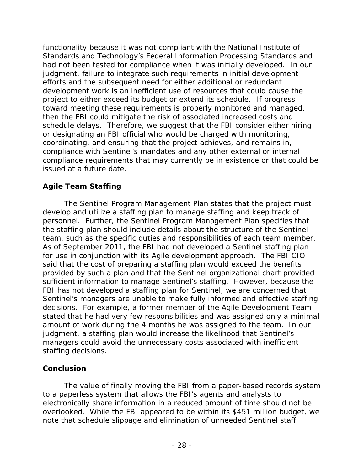functionality because it was not compliant with the National Institute of Standards and Technology's Federal Information Processing Standards and had not been tested for compliance when it was initially developed. In our judgment, failure to integrate such requirements in initial development efforts and the subsequent need for either additional or redundant development work is an inefficient use of resources that could cause the project to either exceed its budget or extend its schedule. If progress toward meeting these requirements is properly monitored and managed, then the FBI could mitigate the risk of associated increased costs and schedule delays. Therefore, we suggest that the FBI consider either hiring or designating an FBI official who would be charged with monitoring, coordinating, and ensuring that the project achieves, and remains in, compliance with Sentinel's mandates and any other external or internal compliance requirements that may currently be in existence or that could be issued at a future date.

# **Agile Team Staffing**

The Sentinel Program Management Plan states that the project must develop and utilize a staffing plan to manage staffing and keep track of personnel. Further, the Sentinel Program Management Plan specifies that the staffing plan should include details about the structure of the Sentinel team, such as the specific duties and responsibilities of each team member. As of September 2011, the FBI had not developed a Sentinel staffing plan for use in conjunction with its Agile development approach. The FBI CIO said that the cost of preparing a staffing plan would exceed the benefits provided by such a plan and that the Sentinel organizational chart provided sufficient information to manage Sentinel's staffing. However, because the FBI has not developed a staffing plan for Sentinel, we are concerned that Sentinel's managers are unable to make fully informed and effective staffing decisions. For example, a former member of the Agile Development Team stated that he had very few responsibilities and was assigned only a minimal amount of work during the 4 months he was assigned to the team. In our judgment, a staffing plan would increase the likelihood that Sentinel's managers could avoid the unnecessary costs associated with inefficient staffing decisions.

# **Conclusion**

The value of finally moving the FBI from a paper-based records system to a paperless system that allows the FBI's agents and analysts to electronically share information in a reduced amount of time should not be overlooked. While the FBI appeared to be within its \$451 million budget, we note that schedule slippage and elimination of unneeded Sentinel staff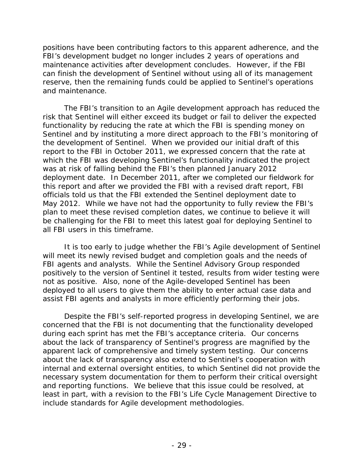positions have been contributing factors to this apparent adherence, and the FBI's development budget no longer includes 2 years of operations and maintenance activities after development concludes. However, if the FBI can finish the development of Sentinel without using all of its management reserve, then the remaining funds could be applied to Sentinel's operations and maintenance.

The FBI's transition to an Agile development approach has reduced the risk that Sentinel will either exceed its budget or fail to deliver the expected functionality by reducing the rate at which the FBI is spending money on Sentinel and by instituting a more direct approach to the FBI's monitoring of the development of Sentinel. When we provided our initial draft of this report to the FBI in October 2011, we expressed concern that the rate at which the FBI was developing Sentinel's functionality indicated the project was at risk of falling behind the FBI's then planned January 2012 deployment date. In December 2011, after we completed our fieldwork for this report and after we provided the FBI with a revised draft report, FBI officials told us that the FBI extended the Sentinel deployment date to May 2012. While we have not had the opportunity to fully review the FBI's plan to meet these revised completion dates, we continue to believe it will be challenging for the FBI to meet this latest goal for deploying Sentinel to all FBI users in this timeframe.

It is too early to judge whether the FBI's Agile development of Sentinel will meet its newly revised budget and completion goals and the needs of FBI agents and analysts. While the Sentinel Advisory Group responded positively to the version of Sentinel it tested, results from wider testing were not as positive. Also, none of the Agile-developed Sentinel has been deployed to all users to give them the ability to enter actual case data and assist FBI agents and analysts in more efficiently performing their jobs.

Despite the FBI's self-reported progress in developing Sentinel, we are concerned that the FBI is not documenting that the functionality developed during each sprint has met the FBI's acceptance criteria. Our concerns about the lack of transparency of Sentinel's progress are magnified by the apparent lack of comprehensive and timely system testing. Our concerns about the lack of transparency also extend to Sentinel's cooperation with internal and external oversight entities, to which Sentinel did not provide the necessary system documentation for them to perform their critical oversight and reporting functions. We believe that this issue could be resolved, at least in part, with a revision to the FBI's Life Cycle Management Directive to include standards for Agile development methodologies.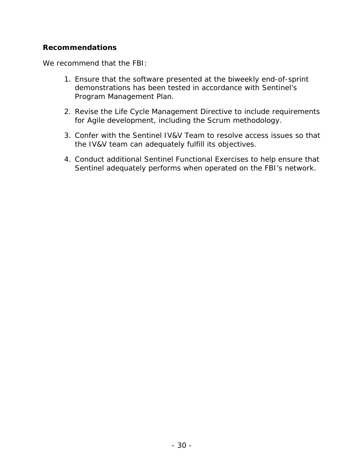## **Recommendations**

We recommend that the FBI:

- 1. Ensure that the software presented at the biweekly end-of-sprint demonstrations has been tested in accordance with Sentinel's Program Management Plan.
- 2. Revise the Life Cycle Management Directive to include requirements for Agile development, including the Scrum methodology.
- 3. Confer with the Sentinel IV&V Team to resolve access issues so that the IV&V team can adequately fulfill its objectives.
- 4. Conduct additional Sentinel Functional Exercises to help ensure that Sentinel adequately performs when operated on the FBI's network.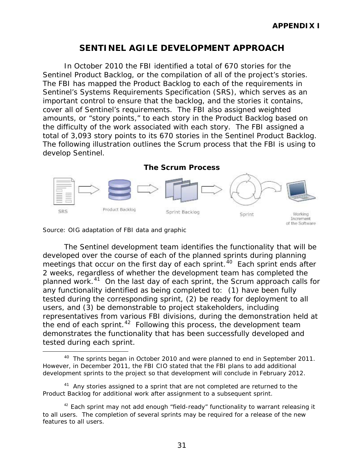# **SENTINEL AGILE DEVELOPMENT APPROACH**

In October 2010 the FBI identified a total of 670 stories for the Sentinel Product Backlog, or the compilation of all of the project's stories. The FBI has mapped the Product Backlog to each of the requirements in Sentinel's Systems Requirements Specification (SRS), which serves as an important control to ensure that the backlog, and the stories it contains, cover all of Sentinel's requirements. The FBI also assigned weighted amounts, or "story points," to each story in the Product Backlog based on the difficulty of the work associated with each story. The FBI assigned a total of 3,093 story points to its 670 stories in the Sentinel Product Backlog. The following illustration outlines the Scrum process that the FBI is using to develop Sentinel.





l

The Sentinel development team identifies the functionality that will be developed over the course of each of the planned sprints during planning meetings that occur on the first day of each sprint.<sup>[40](#page-32-0)</sup> Each sprint ends after 2 weeks, regardless of whether the development team has completed the planned work.[41](#page-32-1) On the last day of each sprint, the Scrum approach calls for any functionality identified as being completed to: (1) have been fully tested during the corresponding sprint, (2) be ready for deployment to all users, and (3) be demonstrable to project stakeholders, including representatives from various FBI divisions, during the demonstration held at the end of each sprint.  $42$  Following this process, the development team demonstrates the functionality that has been successfully developed and tested during each sprint.

<span id="page-32-0"></span><sup>&</sup>lt;sup>40</sup> The sprints began in October 2010 and were planned to end in September 2011. However, in December 2011, the FBI CIO stated that the FBI plans to add additional development sprints to the project so that development will conclude in February 2012.

<span id="page-32-1"></span> $41$  Anv stories assigned to a sprint that are not completed are returned to the Product Backlog for additional work after assignment to a subsequent sprint.

<span id="page-32-2"></span> $42$  Each sprint may not add enough "field-ready" functionality to warrant releasing it to all users. The completion of several sprints may be required for a release of the new features to all users.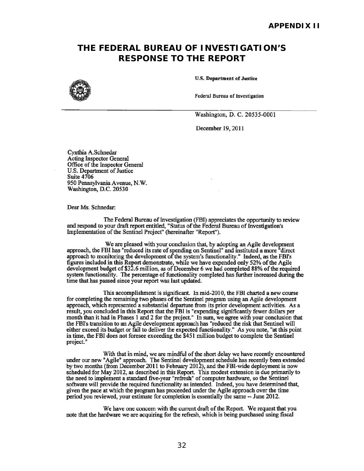# **RESPONSE TO THE REPORT THE FEDERAL BUREAU OF INVESTIGATION'S**



U.S. Department of Justice

Federal Bureau of Investigation

Washington, D. C. 20535-0001

December 19, 20ll

Cynthia A.Schnedar Acting Inspector General Office of the Inspector General U.S. Department of Justice Suite 4706 950 Pennsylvania Avenue, N.W. Washington, D.C. 20530

Dear Ms. Schnedar:

The Federal Bureau of Investigation (FBI) appreciates the opportunity to review and respond to your draft report entitled, "Status of the Federal Bureau of Investigation's Implementation of the Sentinel Project" (hereinafter "Report").

We are pleased with your conclusion that, by adopting an Agile development approach, the FBI bas "reduced its rate of spending on Sentinel" and instituted a more "direct approach to monitoring the development of the system's functionality." Indeed, as the FBI's figures included in this Report demonstrate, while we have expended only 52% of the Agile development budget of\$32.6 million. as of December 6 we had completed 88% of the required system functionality. The percentage of functionality completed has further increased during the time that has passed since your report was last updated.

This accomplishment is significant. In mid-2010, the FBI charted a new course for completing the remaining two phases of the Sentinel program using an Agile development approach, which represented a substantial departure from its prior development activities. As a result, you concluded in this Report that the FBI is "expending significantly fewer dollars per month than it had in Phases 1 and 2 for the project." In sum, we agree with your conclusion that the FBI's transition to an Agile development approach has "reduced the risk that Sentinel will either exceed its budget or fail to deliver the expected functionality." As you note, "at this point in time, the FBI does not foresee exceeding the \$45 I million budget to complete the Sentinel project."

With that in mind, we are mindful of the short delay we have recently encountered under our new" Agile" approach. The Sentinel development schedule has recently been extended by two months (from December 2011 to February 2012), and the FBI-wide deployment is now scheduled for May 2012, as described in this Report. This modest extension is due primarily to the need to implement a standard five-year "refresh" of computer hardware, so the Sentinel software will provide the required functionality as intended. Indeed, you have determined that, given the pace at which the program has proceeded under the Agile approach over the time period you reviewed, your estimate for completion is essentially the same -- June 2012.

We have one concern with the current draft of the Report. We request that you note that the hardware we are acquiring for the refresh, which is being purchased using fiscal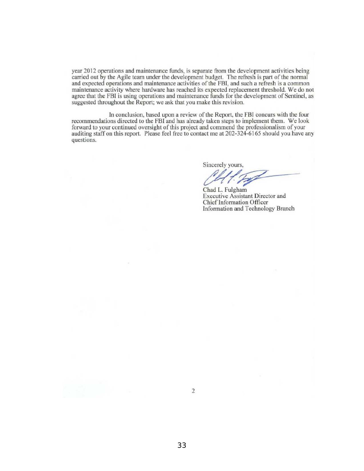year 2012 operations and maintenance funds, is separate from the development activities being carried out by the Agile team under the development budget. The refresh is part of the normal and expected operations and maintenance activities of the FBI, and such a refresh is a common maintenance activity where hardware has reached its expected replacement threshold. We do not agree that the FBI is using operations and maintenance funds for the development of Sentinel, as suggested throughout the Report; we ask that you make this revision.

In conclusion, based upon a review of the Report, the FBI concurs with the four recommendations directed to the FBI and has already taken steps to implement them. We look forward to your continued oversight of this project and commend the professionalism of your auditing staff on this report. Please feel free to contact me at 202-324-6165 should you have any questions.

Sincerely yours,

Sincerely yours,

Chad L. Fulgham Executive Assistant Director and Chief Information Officer Information and Technology Braneb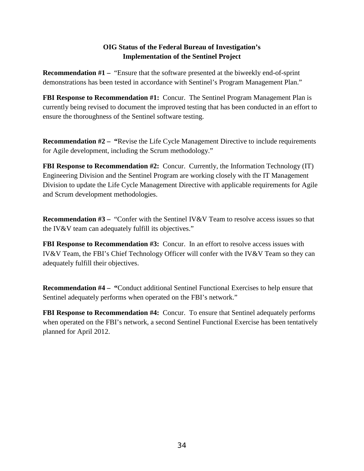#### **OIG Status of the Federal Bureau of Investigation's Implementation of the Sentinel Project**

**Recommendation #1** – "Ensure that the software presented at the biweekly end-of-sprint demonstrations has been tested in accordance with Sentinel's Program Management Plan."

**FBI Response to Recommendation #1:** Concur. The Sentinel Program Management Plan is currently being revised to document the improved testing that has been conducted in an effort to ensure the thoroughness of the Sentinel software testing.

**Recommendation #2 – "**Revise the Life Cycle Management Directive to include requirements for Agile development, including the Scrum methodology."

**FBI Response to Recommendation #2:** Concur. Currently, the Information Technology (IT) Engineering Division and the Sentinel Program are working closely with the IT Management Division to update the Life Cycle Management Directive with applicable requirements for Agile and Scrum development methodologies.

**Recommendation #3** – "Confer with the Sentinel IV&V Team to resolve access issues so that the IV&V team can adequately fulfill its objectives."

**FBI Response to Recommendation #3:** Concur. In an effort to resolve access issues with IV&V Team, the FBI's Chief Technology Officer will confer with the IV&V Team so they can adequately fulfill their objectives.

**Recommendation #4 – "**Conduct additional Sentinel Functional Exercises to help ensure that Sentinel adequately performs when operated on the FBI's network."

**FBI Response to Recommendation #4:** Concur. To ensure that Sentinel adequately performs when operated on the FBI's network, a second Sentinel Functional Exercise has been tentatively planned for April 2012.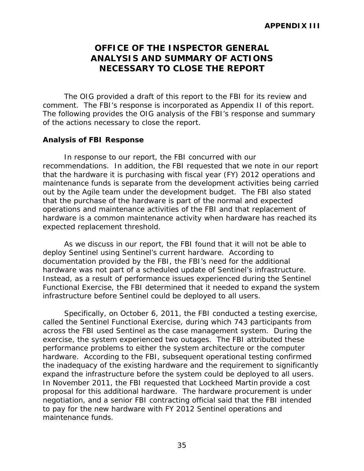# **OFFICE OF THE INSPECTOR GENERAL ANALYSIS AND SUMMARY OF ACTIONS NECESSARY TO CLOSE THE REPORT**

The OIG provided a draft of this report to the FBI for its review and comment. The FBI's response is incorporated as Appendix II of this report. The following provides the OIG analysis of the FBI's response and summary of the actions necessary to close the report.

#### **Analysis of FBI Response**

In response to our report, the FBI concurred with our recommendations. In addition, the FBI requested that we note in our report that the hardware it is purchasing with fiscal year (FY) 2012 operations and maintenance funds is separate from the development activities being carried out by the Agile team under the development budget. The FBI also stated that the purchase of the hardware is part of the normal and expected operations and maintenance activities of the FBI and that replacement of hardware is a common maintenance activity when hardware has reached its expected replacement threshold.

As we discuss in our report, the FBI found that it will not be able to deploy Sentinel using Sentinel's current hardware. According to documentation provided by the FBI, the FBI's need for the additional hardware was not part of a scheduled update of Sentinel's infrastructure. Instead, as a result of performance issues experienced during the Sentinel Functional Exercise, the FBI determined that it needed to expand the system infrastructure before Sentinel could be deployed to all users.

Specifically, on October 6, 2011, the FBI conducted a testing exercise, called the Sentinel Functional Exercise, during which 743 participants from across the FBI used Sentinel as the case management system. During the exercise, the system experienced two outages. The FBI attributed these performance problems to either the system architecture or the computer hardware. According to the FBI, subsequent operational testing confirmed the inadequacy of the existing hardware and the requirement to significantly expand the infrastructure before the system could be deployed to all users. In November 2011, the FBI requested that Lockheed Martin provide a cost proposal for this additional hardware. The hardware procurement is under negotiation, and a senior FBI contracting official said that the FBI intended to pay for the new hardware with FY 2012 Sentinel operations and maintenance funds.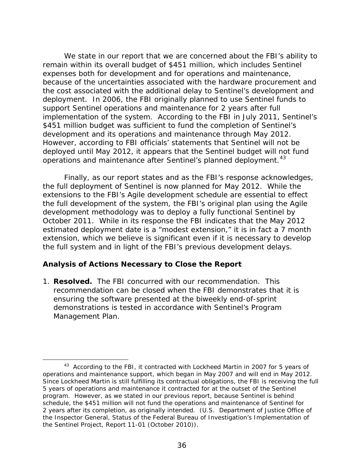We state in our report that we are concerned about the FBI's ability to remain within its overall budget of \$451 million, which includes Sentinel expenses both for development and for operations and maintenance, because of the uncertainties associated with the hardware procurement and the cost associated with the additional delay to Sentinel's development and deployment. In 2006, the FBI originally planned to use Sentinel funds to support Sentinel operations and maintenance for 2 years after full implementation of the system. According to the FBI in July 2011, Sentinel's \$451 million budget was sufficient to fund the completion of Sentinel's development and its operations and maintenance through May 2012. However, according to FBI officials' statements that Sentinel will not be deployed until May 2012, it appears that the Sentinel budget will not fund operations and maintenance after Sentinel's planned deployment.<sup>[43](#page-37-0)</sup>

Finally, as our report states and as the FBI's response acknowledges, the full deployment of Sentinel is now planned for May 2012. While the extensions to the FBI's Agile development schedule are essential to effect the full development of the system, the FBI's original plan using the Agile development methodology was to deploy a fully functional Sentinel by October 2011. While in its response the FBI indicates that the May 2012 estimated deployment date is a "modest extension," it is in fact a 7 month extension, which we believe is significant even if it is necessary to develop the full system and in light of the FBI's previous development delays.

#### **Analysis of Actions Necessary to Close the Report**

l

1. **Resolved.** The FBI concurred with our recommendation. This recommendation can be closed when the FBI demonstrates that it is ensuring the software presented at the biweekly end-of-sprint demonstrations is tested in accordance with Sentinel's Program Management Plan.

<span id="page-37-0"></span><sup>&</sup>lt;sup>43</sup> According to the FBI, it contracted with Lockheed Martin in 2007 for 5 years of operations and maintenance support, which began in May 2007 and will end in May 2012. Since Lockheed Martin is still fulfilling its contractual obligations, the FBI is receiving the full 5 years of operations and maintenance it contracted for at the outset of the Sentinel program. However, as we stated in our previous report, because Sentinel is behind schedule, the \$451 million will not fund the operations and maintenance of Sentinel for 2 years after its completion, as originally intended. (U.S. Department of Justice Office of the Inspector General, *Status of the Federal Bureau of Investigation's Implementation of the Sentinel Project*, Report 11-01 (October 2010)).